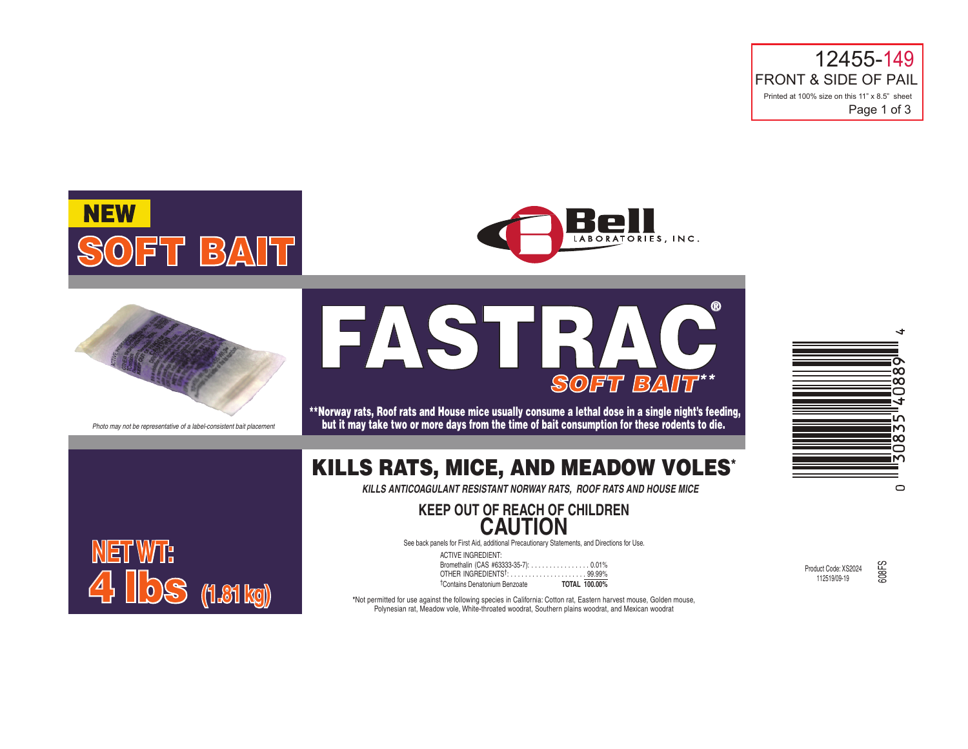12455-149 FRONT & SIDE OF PAIL Printed at 100% size on this 11" x 8.5" sheet Page 1 of 3







*Photo may not be representative of a label-consistent bait placement*

4 lbs **(1.81 kg)**

**NET WT:**



\*\*Norway rats, Roof rats and House mice usually consume a lethal dose in a single night's feeding, but it may take two or more days from the time of bait consumption for these rodents to die.

# KILLS RATS, MICE, AND MEADOW VOLES\*

*KILLS ANTICOAGULANT RESISTANT NORWAY RATS, ROOF RATS AND HOUSE MICE*

## **KEEP OUT OF REACH OF CHILDREN CAUTION**

See back panels for First Aid, additional Precautionary Statements, and Directions for Use.

ACTIVE INGREDIENT: Bromethalin (CAS #63333-35-7): . . . . . . . . . . . . . . . . 0.01% OTHER INGREDIENTS†: . . . . . . . . . . . . . . . . . . . . . 99.99% †Contains Denatonium Benzoate **TOTAL 100.00%** 

Product Code: XS2024 112519/09-19



608FS

**\***Not permitted for use against the following species in California: Cotton rat, Eastern harvest mouse, Golden mouse, Polynesian rat, Meadow vole, White-throated woodrat, Southern plains woodrat, and Mexican woodrat

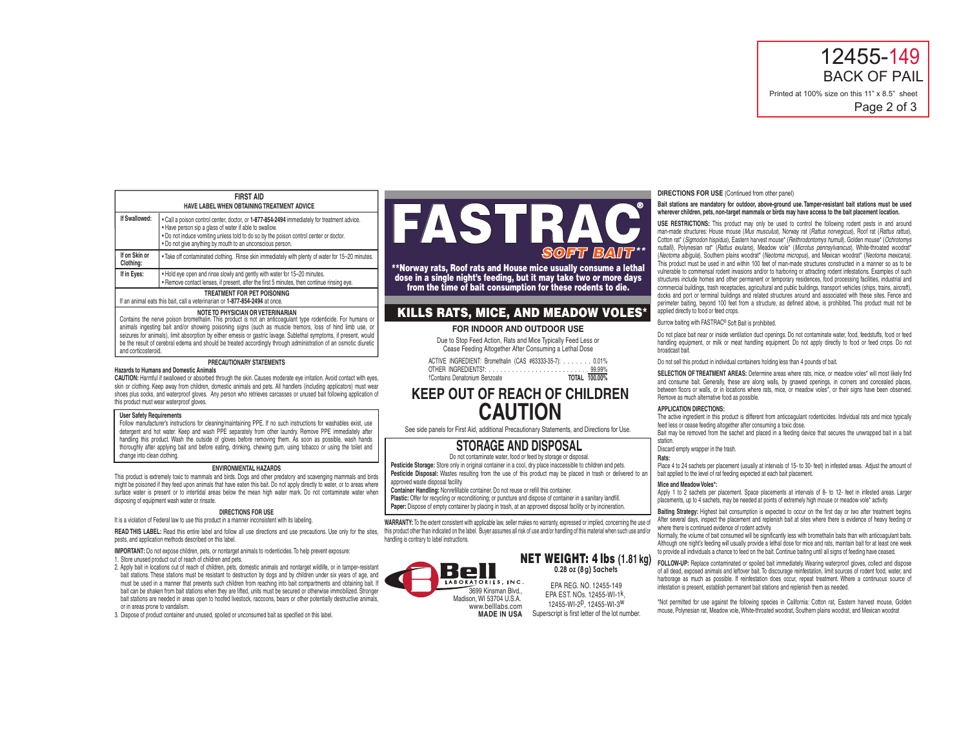12455-149 BACK OF PAIL Printed at 100% size on this 11" x 8.5" sheet

Page 2 of 3

| <b>FIRST AID</b>                           |  |
|--------------------------------------------|--|
| HAVE LABEL WHEN OBTAINING TREATMENT ADVICE |  |
|                                            |  |

| If Swallowed:              | • Call a poison control center, doctor, or 1-877-854-2494 immediately for treatment advice.<br>. Have person sip a glass of water if able to swallow.<br>. Do not induce vomiting unless told to do so by the poison control center or doctor.<br>. Do not give anything by mouth to an unconscious person. |
|----------------------------|-------------------------------------------------------------------------------------------------------------------------------------------------------------------------------------------------------------------------------------------------------------------------------------------------------------|
| If on Skin or<br>Clothing: | . Take off contaminated clothing. Rinse skin immediately with plenty of water for 15-20 minutes.                                                                                                                                                                                                            |
| If in Eves:                | . Hold eye open and rinse slowly and gently with water for 15-20 minutes.                                                                                                                                                                                                                                   |

• Hold eye open and rinse slowly and gently with water for 15–20 minutes. • Remove contact lenses, if present, after the first 5 minutes, then continue rinsing eye. **TREATMENT FOR PET POISONING**

## If an animal eats this bait, call a veterinarian or **1-877-854-2494** at once.

## **NOTE TO PHYSICIAN OR VETERINARIAN**

Contains the nerve poison bromethalin. This product is not an anticoagulant type rodenticide. For humans or animals ingesting bait and/or showing poisoning signs (such as muscle tremors, loss of hind limb use, or seizures for animals), limit absorption by either emesis or gastric lavage. Sublethal symptoms, if present, would be the result of cerebral edema and should be treated accordingly through administration of an osmotic diuretic and corticosteroid.

## **PRECAUTIONARY STATEMENTS**

## **Hazards to Humans and Domestic Animals**

**CAUTION:** Harmful if swallowed or absorbed through the skin. Causes moderate eye irritation. Avoid contact with eyes, skin or clothing. Keep away from children, domestic animals and pets. All handlers (including applicators) must wear shoes plus socks, and waterproof gloves. Any person who retrieves carcasses or unused bait following application of this product must wear waterproof gloves.

#### **User Safety Requirements**

Follow manufacturer's instructions for cleaning/maintaining PPE. If no such instructions for washables exist, use detergent and hot water. Keep and wash PPE separately from other laundry. Remove PPE immediately after handling this product. Wash the outside of gloves before removing them. As soon as possible, wash hands thoroughly after applying bait and before eating, drinking, chewing gum, using tobacco or using the toilet and change into clean clothing.

## **ENVIRONMENTAL HAZARDS**

This product is extremely toxic to mammals and birds. Dogs and other predatory and scavenging mammals and birds might be poisoned if they feed upon animals that have eaten this bait. Do not apply directly to water, or to areas where surface water is present or to intertidal areas below the mean high water mark. Do not contaminate water when disposing of equipment wash water or rinsate.

#### **DIRECTIONS FOR USE**

It is a violation of Federal law to use this product in a manner inconsistent with its labeling.

READ THIS LABEL: Read this entire label and follow all use directions and use precautions. Use only for the sites, this product other than indicated on the label. Buyer assumes all risk of use and/or handling of this mater pests, and application methods described on this label.

**IMPORTANT:** Do not expose children, pets, or nontarget animals to rodenticides. To help prevent exposure

1. Store unused product out of reach of children and pets.

2. Apply bait in locations out of reach of children, pets, domestic animals and nontarget wildlife, or in tamper-resistant bait stations. These stations must be resistant to destruction by dogs and by children under six years of age, and must be used in a manner that prevents such children from reaching into bait compartments and obtaining bait. If bait can be shaken from bait stations when they are lifted, units must be secured or otherwise immobilized. Stronger bait stations are needed in areas open to hoofed livestock, raccoons, bears or other potentially destructive animals, or in areas prone to vandalism.

3. Dispose of product container and unused, spoiled or unconsumed bait as specified on this label.

# FASTRAC *SOFT BAIT \*\** **®**

\*\*Norway rats, Roof rats and House mice usually consume a lethal dose in a single night's feeding, but it may take two or more days from the time of bait consumption for these rodents to die.

## KILLS RATS, MICE, AND MEADOW VOLES\*

### **FOR INDOOR AND OUTDOOR USE**

Due to Stop Feed Action, Rats and Mice Typically Feed Less or Cease Feeding Altogether After Consuming a Lethal Dose

ACTIVE INGREDIENT: Bromethalin (CAS #63333-35-7): . . . . . . . 0.01% OTHER INGREDIENTS†: . . . . . . . . . . . . . . . . . . . . . . . . . . 99.99% †Contains Denatonium Benzoate **TOTAL 100.00%**

## **KEEP OUT OF REACH OF CHILDREN CAUTION**

See side panels for First Aid, additional Precautionary Statements, and Directions for Use.

## **STORAGE AND DISPOSAL**

Do not contaminate water, food or feed by storage or disposal.

Pesticide Storage: Store only in original container in a cool, dry place inaccessible to children and pets. Pesticide Disposal: Wastes resulting from the use of this product may be placed in trash or delivered to an approved waste disposal facility.

**Container Handling:** Nonrefillable container. Do not reuse or refill this container.

Plastic: Offer for recycling or reconditioning; or puncture and dispose of container in a sanitary landfill. Paper: Dispose of empty container by placing in trash, at an approved disposal facility or by incineration.

**WARRANTY:** To the extent consistent with applicable law, seller makes no warranty, expressed or implied, concerning the use of handling is contrary to label instructions.

## NET WEIGHT: 4 lbs **(1.81 kg) 0.28 oz (8g) Sachets**

EPA REG. NO. 12455-149 EPA EST. NOs. 12455-WI-1k, 12455-WI-2p, 12455-WI-3w Superscript is first letter of the lot number.

## **DIRECTIONS FOR USE** (Continued from other panel)

## **Bait stations are mandatory for outdoor, above-ground use. Tamper-resistant bait stations must be used wherever children, pets, non-target mammals or birds may have access to the bait placement location.**

**USE RESTRICTIONS:** This product may only be used to control the following rodent pests in and around man-made structures: House mouse (*Mus musculus*), Norway rat (*Rattus norvegicus*), Roof rat (*Rattus rattus*), Cotton rat\* (*Sigmodon hispidus*), Eastern harvest mouse\* (*Reithrodontomys humuli*), Golden mouse\* (*Ochrotomys nuttalli*), Polynesian rat\* (*Rattus exulans*), Meadow vole\* (*Microtus pennsylvanicus*), White-throated woodrat\* (*Neotoma albigula*), Southern plains woodrat\* (*Neotoma micropus*), and Mexican woodrat\* (*Neotoma mexicana*). This product must be used in and within 100 feet of man-made structures constructed in a manner so as to be vulnerable to commensal rodent invasions and/or to harboring or attracting rodent infestations. Examples of such structures include homes and other permanent or temporary residences, food processing facilities, industrial and commercial buildings, trash receptacles, agricultural and public buildings, transport vehicles (ships, trains, aircraft), docks and port or terminal buildings and related structures around and associated with these sites. Fence and perimeter baiting, beyond 100 feet from a structure, as defined above, is prohibited. This product must not be applied directly to food or feed crops.

Burrow baiting with FASTRAC® Soft Bait is prohibited.

Do not place bait near or inside ventilation duct openings. Do not contaminate water, food, feedstuffs, food or feed handling equipment, or milk or meat handling equipment. Do not apply directly to food or feed crops. Do not broadcast bait.

Do not sell this product in individual containers holding less than 4 pounds of bait.

**SELECTION OF TREATMENT AREAS:** Determine areas where rats, mice, or meadow voles\* will most likely find and consume bait. Generally, these are along walls, by gnawed openings, in corners and concealed places, between floors or walls, or in locations where rats, mice, or meadow voles\*, or their signs have been observed. Remove as much alternative food as possible.

## **APPLICATION DIRECTIONS:**

The active ingredient in this product is different from anticoagulant rodenticides. Individual rats and mice typically feed less or cease feeding altogether after consuming a toxic dose. Bait may be removed from the sachet and placed in a feeding device that secures the unwrapped bait in a bait

station. Discard empty wrapper in the trash.

**Rats:** 

Place 4 to 24 sachets per placement (usually at intervals of 15- to 30- feet) in infested areas. Adjust the amount of bait applied to the level of rat feeding expected at each bait placement.

### **Mice and Meadow Voles\*:**

Apply 1 to 2 sachets per placement. Space placements at intervals of 8- to 12- feet in infested areas. Larger placements, up to 4 sachets, may be needed at points of extremely high mouse or meadow vole\* activity.

**Baiting Strategy:** Highest bait consumption is expected to occur on the first day or two after treatment begins. After several days, inspect the placement and replenish bait at sites where there is evidence of heavy feeding or where there is continued evidence of rodent activity.

Normally, the volume of bait consumed will be significantly less with bromethalin baits than with anticoagulant baits. Although one night's feeding will usually provide a lethal dose for mice and rats, maintain bait for at least one week to provide all individuals a chance to feed on the bait. Continue baiting until all signs of feeding have ceased.

**FOLLOW-UP:** Replace contaminated or spoiled bait immediately. Wearing waterproof gloves, collect and dispose of all dead, exposed animals and leftover bait. To discourage reinfestation, limit sources of rodent food, water, and harborage as much as possible. If reinfestation does occur, repeat treatment. Where a continuous source of infestation is present, establish permanent bait stations and replenish them as needed.

\*Not permitted for use against the following species in California: Cotton rat, Eastern harvest mouse, Golden mouse, Polynesian rat, Meadow vole, White-throated woodrat, Southern plains woodrat, and Mexican woodrat